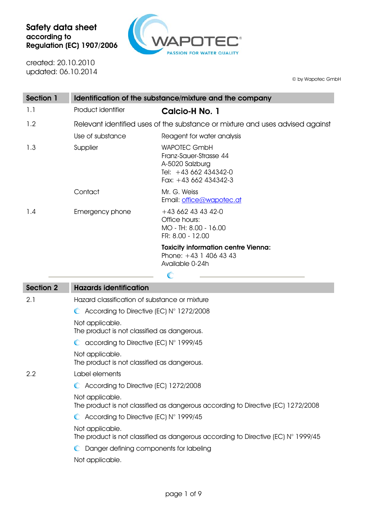

created: 20.10.2010 updated: 06.10.2014

© by Wapotec GmbH

| Section 1 | Identification of the substance/mixture and the company                       |                                                                                                                    |
|-----------|-------------------------------------------------------------------------------|--------------------------------------------------------------------------------------------------------------------|
| 1.1       | Product identifier                                                            | Calcio-H No. 1                                                                                                     |
| 1.2       | Relevant identified uses of the substance or mixture and uses advised against |                                                                                                                    |
|           | Use of substance                                                              | Reagent for water analysis                                                                                         |
| 1.3       | Supplier                                                                      | <b>WAPOTEC GmbH</b><br>Franz-Sauer-Strasse 44<br>A-5020 Salzburg<br>Tel: $+43662434342-0$<br>Fax: $+43662434342-3$ |
|           | Contact                                                                       | Mr. G. Weiss<br>Email: office@wapotec.at                                                                           |
| 1.4       | Emergency phone                                                               | $+43662434342-0$<br>Office hours:<br>MO - TH: 8.00 - 16.00<br>FR: 8.00 - 12.00                                     |
|           |                                                                               | <b>Toxicity information centre Vienna:</b><br>Phone: $+43$ 1 406 43 43<br>Available 0-24h<br>$\sqrt{2}$            |

| <b>Section 2</b> | <b>Hazards identification</b>                                                                                 |
|------------------|---------------------------------------------------------------------------------------------------------------|
| 2.1              | Hazard classification of substance or mixture                                                                 |
|                  | $\bullet$ According to Directive (EC) N° 1272/2008                                                            |
|                  | Not applicable.<br>The product is not classified as dangerous.                                                |
|                  | $\bullet$ according to Directive (EC) N° 1999/45                                                              |
|                  | Not applicable.<br>The product is not classified as dangerous.                                                |
| 2.2              | Label elements                                                                                                |
|                  | C According to Directive (EC) 1272/2008                                                                       |
|                  | Not applicable.<br>The product is not classified as dangerous according to Directive (EC) 1272/2008           |
|                  | $\bullet$ According to Directive (EC) N° 1999/45                                                              |
|                  | Not applicable.<br>The product is not classified as dangerous according to Directive (EC) $N^{\circ}$ 1999/45 |
|                  | Danger defining components for labeling                                                                       |
|                  | Not applicable.                                                                                               |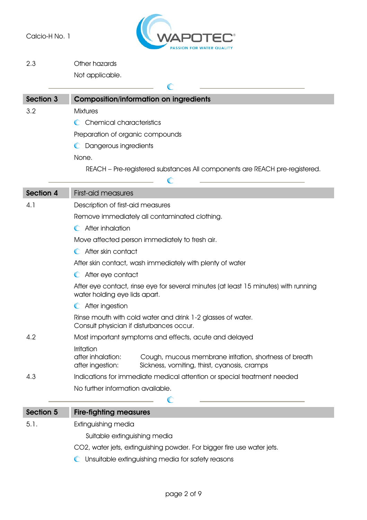

2.3 Other hazards

Not applicable.

| <b>Section 3</b> | <b>Composition/information on ingredients</b>                                                                                                                 |  |  |
|------------------|---------------------------------------------------------------------------------------------------------------------------------------------------------------|--|--|
| 3.2              | <b>Mixtures</b>                                                                                                                                               |  |  |
|                  | C Chemical characteristics                                                                                                                                    |  |  |
|                  | Preparation of organic compounds                                                                                                                              |  |  |
|                  | Dangerous ingredients                                                                                                                                         |  |  |
|                  | None.                                                                                                                                                         |  |  |
|                  | REACH - Pre-registered substances All components are REACH pre-registered.                                                                                    |  |  |
|                  |                                                                                                                                                               |  |  |
| Section 4        | <b>First-aid measures</b>                                                                                                                                     |  |  |
| 4.1              | Description of first-aid measures                                                                                                                             |  |  |
|                  | Remove immediately all contaminated clothing.                                                                                                                 |  |  |
|                  | C After inhalation                                                                                                                                            |  |  |
|                  | Move affected person immediately to fresh air.                                                                                                                |  |  |
|                  | After skin contact                                                                                                                                            |  |  |
|                  | After skin contact, wash immediately with plenty of water                                                                                                     |  |  |
|                  | After eye contact                                                                                                                                             |  |  |
|                  | After eye contact, rinse eye for several minutes (at least 15 minutes) with running<br>water holding eye lids apart.                                          |  |  |
|                  | After ingestion                                                                                                                                               |  |  |
|                  | Rinse mouth with cold water and drink 1-2 glasses of water.<br>Consult physician if disturbances occur.                                                       |  |  |
| 4.2              | Most important symptoms and effects, acute and delayed                                                                                                        |  |  |
|                  | Irritation<br>after inhalation:<br>Cough, mucous membrane irritation, shortness of breath<br>after ingestion:<br>Sickness, vomiting, thirst, cyanosis, cramps |  |  |
| 4.3              | Indications for immediate medical attention or special treatment needed                                                                                       |  |  |
|                  | No further information available.                                                                                                                             |  |  |
|                  |                                                                                                                                                               |  |  |
| Section 5        | <b>Fire-fighting measures</b>                                                                                                                                 |  |  |
| 5.1.             | Extinguishing media                                                                                                                                           |  |  |
|                  | Suitable extinguishing media                                                                                                                                  |  |  |
|                  | CO2, water jets, extinguishing powder. For bigger fire use water jets.                                                                                        |  |  |
|                  |                                                                                                                                                               |  |  |

Unsuitable extinguishing media for safety reasons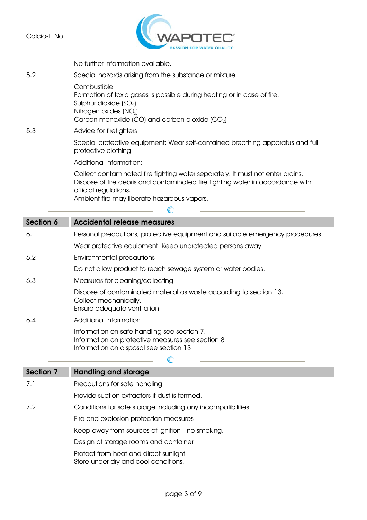

 No further information available. 5.2 Special hazards arising from the substance or mixture Combustible Formation of toxic gases is possible during heating or in case of fire. Sulphur dioxide  $(SO<sub>2</sub>)$ Nitrogen oxides (NO<sub>x</sub>) Carbon monoxide  $(CO)$  and carbon dioxide  $(CO<sub>2</sub>)$ 5.3 Advice for firefighters Special protective equipment: Wear self-contained breathing apparatus and full protective clothing Additional information: Collect contaminated fire fighting water separately. It must not enter drains. Dispose of fire debris and contaminated fire fighting water in accordance with official regulations. Ambient fire may liberate hazardous vapors. C Section 6 Accidental release measures 6.1 Personal precautions, protective equipment and suitable emergency procedures. Wear protective equipment. Keep unprotected persons away. 6.2 Environmental precautions Do not allow product to reach sewage system or water bodies. 6.3 Measures for cleaning/collecting: Dispose of contaminated material as waste according to section 13. Collect mechanically. Ensure adequate ventilation. 6.4 Additional information Information on safe handling see section 7. Information on protective measures see section 8 Information on disposal see section 13

| Section 7 | Handling and storage                                                           |
|-----------|--------------------------------------------------------------------------------|
| 7.1       | Precautions for safe handling                                                  |
|           | Provide suction extractors if dust is formed.                                  |
| 7.2       | Conditions for safe storage including any incompatibilities                    |
|           | Fire and explosion protection measures                                         |
|           | Keep away from sources of ignition - no smoking.                               |
|           | Design of storage rooms and container                                          |
|           | Protect from heat and direct sunlight.<br>Store under dry and cool conditions. |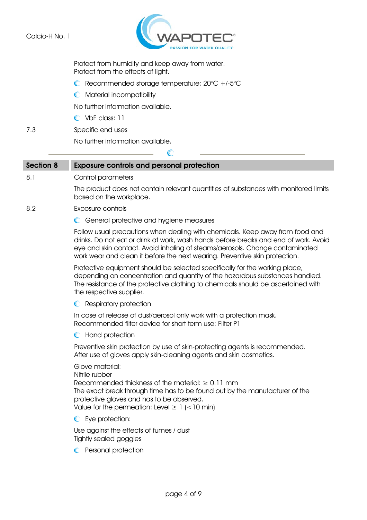

Protect from humidity and keep away from water. Protect from the effects of light.

Recommended storage temperature: 20°C +/-5°C

C

**C** Material incompatibility

No further information available.

- C VbF class: 11
- 7.3 Specific end uses

No further information available.

| Section 8 | <b>Exposure controls and personal protection</b> |
|-----------|--------------------------------------------------|
| 8.1       | Control parameters                               |

The product does not contain relevant quantities of substances with monitored limits based on the workplace.

#### 8.2 Exposure controls

General protective and hygiene measures

Follow usual precautions when dealing with chemicals. Keep away from food and drinks. Do not eat or drink at work, wash hands before breaks and end of work. Avoid eye and skin contact. Avoid inhaling of steams/aerosols. Change contaminated work wear and clean it before the next wearing. Preventive skin protection.

Protective equipment should be selected specifically for the working place, depending on concentration and quantity of the hazardous substances handled. The resistance of the protective clothing to chemicals should be ascertained with the respective supplier.

**C** Respiratory protection

In case of release of dust/aerosol only work with a protection mask. Recommended filter device for short term use: Filter P1

**C** Hand protection

Preventive skin protection by use of skin-protecting agents is recommended. After use of gloves apply skin-cleaning agents and skin cosmetics.

```
Glove material: 
Nitrile rubber 
Recommended thickness of the material: \geq 0.11 mm
The exact break through time has to be found out by the manufacturer of the 
protective gloves and has to be observed. 
Value for the permeation: Level \geq 1 (<10 min)
```
 $\bullet$  Eye protection:

Use against the effects of fumes / dust Tightly sealed goggles

**C** Personal protection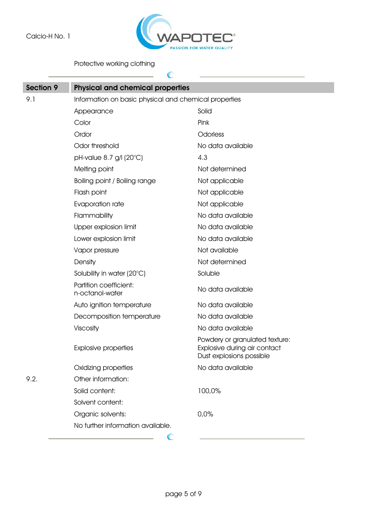

 $\mathbb{C}$ 

Protective working clothing

 $\overline{\phantom{a}}$ 

| Section 9 | <b>Physical and chemical properties</b>               |                                                                                            |  |
|-----------|-------------------------------------------------------|--------------------------------------------------------------------------------------------|--|
| 9.1       | Information on basic physical and chemical properties |                                                                                            |  |
|           | Appearance                                            | Solid                                                                                      |  |
|           | Color                                                 | Pink                                                                                       |  |
|           | Ordor                                                 | Odorless                                                                                   |  |
|           | Odor threshold                                        | No data available                                                                          |  |
|           | pH-value 8.7 g/l (20°C)                               | 4.3                                                                                        |  |
|           | Melting point                                         | Not determined                                                                             |  |
|           | Boiling point / Boiling range                         | Not applicable                                                                             |  |
|           | Flash point                                           | Not applicable                                                                             |  |
|           | Evaporation rate                                      | Not applicable                                                                             |  |
|           | Flammability                                          | No data available                                                                          |  |
|           | Upper explosion limit                                 | No data available                                                                          |  |
|           | Lower explosion limit                                 | No data available                                                                          |  |
|           | Vapor pressure                                        | Not available                                                                              |  |
|           | Density                                               | Not determined                                                                             |  |
|           | Solubility in water $(20^{\circ}C)$                   | Soluble                                                                                    |  |
|           | Partition coefficient:<br>n-octanol-water             | No data available                                                                          |  |
|           | Auto ignition temperature                             | No data available                                                                          |  |
|           | Decomposition temperature                             | No data available                                                                          |  |
|           | Viscosity                                             | No data available                                                                          |  |
|           | <b>Explosive properties</b>                           | Powdery or granulated texture:<br>Explosive during air contact<br>Dust explosions possible |  |
|           | Oxidizing properties                                  | No data available                                                                          |  |
| 9.2.      | Other information:                                    |                                                                                            |  |
|           | Solid content:                                        | 100,0%                                                                                     |  |
|           | Solvent content:                                      |                                                                                            |  |
|           | Organic solvents:                                     | 0,0%                                                                                       |  |
|           | No further information available.                     |                                                                                            |  |
|           |                                                       |                                                                                            |  |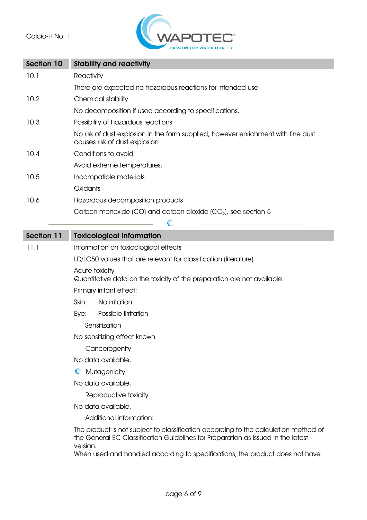

| <b>Section 10</b>        | <b>Stability and reactivity</b>                                                                                                                                                     |  |  |
|--------------------------|-------------------------------------------------------------------------------------------------------------------------------------------------------------------------------------|--|--|
| 10.1                     | Reactivity                                                                                                                                                                          |  |  |
|                          | There are expected no hazardous reactions for intended use                                                                                                                          |  |  |
| 10.2                     | Chemical stability                                                                                                                                                                  |  |  |
|                          | No decomposition if used according to specifications.                                                                                                                               |  |  |
| 10.3                     | Possibility of hazardous reactions                                                                                                                                                  |  |  |
|                          | No risk of dust explosion in the form supplied, however enrichment with fine dust<br>causes risk of dust explosion                                                                  |  |  |
| 10.4                     | Conditions to avoid                                                                                                                                                                 |  |  |
|                          | Avoid extreme temperatures.                                                                                                                                                         |  |  |
| 10.5                     | Incompatible materials                                                                                                                                                              |  |  |
|                          | Oxidants                                                                                                                                                                            |  |  |
| 10.6                     | Hazardous decomposition products                                                                                                                                                    |  |  |
|                          | Carbon monoxide (CO) and carbon dioxide (CO <sub>2</sub> ), see section 5                                                                                                           |  |  |
|                          | C                                                                                                                                                                                   |  |  |
| Section 11               | <b>Toxicological information</b>                                                                                                                                                    |  |  |
| 11.1                     | Information on toxicological effects                                                                                                                                                |  |  |
|                          | LD/LC50 values that are relevant for classification (literature)                                                                                                                    |  |  |
|                          | Acute toxicity<br>Quantitative data on the toxicity of the preparation are not available.                                                                                           |  |  |
| Primary irritant effect: |                                                                                                                                                                                     |  |  |
|                          | Skin:<br>No irritation                                                                                                                                                              |  |  |
|                          | Possible ilrritation<br>Eye:                                                                                                                                                        |  |  |
|                          | Sensitization                                                                                                                                                                       |  |  |
|                          | No sensitizing effect known.                                                                                                                                                        |  |  |
|                          | Cancerogenity                                                                                                                                                                       |  |  |
|                          | No data available.                                                                                                                                                                  |  |  |
|                          | Mutagenicity<br>$\mathbb{C}$                                                                                                                                                        |  |  |
|                          | No data available.                                                                                                                                                                  |  |  |
|                          | Reproductive toxicity                                                                                                                                                               |  |  |
|                          | No data available.                                                                                                                                                                  |  |  |
|                          | Additional information:                                                                                                                                                             |  |  |
|                          | The product is not subject to classification according to the calculation method of<br>the General EC Classification Guidelines for Preparation as issued in the latest<br>version. |  |  |

When used and handled according to specifications, the product does not have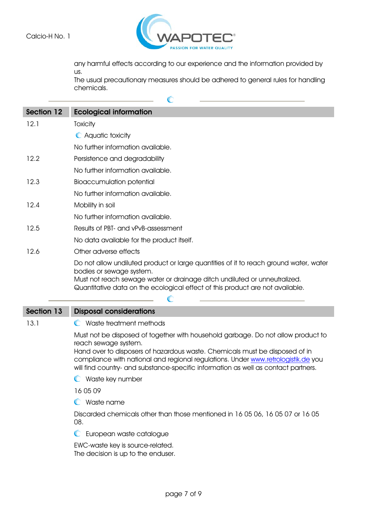

**C** 

any harmful effects according to our experience and the information provided by us.

The usual precautionary measures should be adhered to general rules for handling chemicals.

| <b>Section 12</b> | <b>Ecological information</b>                                                                                                                                                                                                                                                   |
|-------------------|---------------------------------------------------------------------------------------------------------------------------------------------------------------------------------------------------------------------------------------------------------------------------------|
| 12.1              | <b>Toxicity</b>                                                                                                                                                                                                                                                                 |
|                   | <b>C</b> Aquatic toxicity                                                                                                                                                                                                                                                       |
|                   | No further information available.                                                                                                                                                                                                                                               |
| 12.2              | Persistence and degradability                                                                                                                                                                                                                                                   |
|                   | No further information available.                                                                                                                                                                                                                                               |
| 12.3              | <b>Bioaccumulation potential</b>                                                                                                                                                                                                                                                |
|                   | No further information available.                                                                                                                                                                                                                                               |
| 12.4              | Mobility in soil                                                                                                                                                                                                                                                                |
|                   | No further information available.                                                                                                                                                                                                                                               |
| 12.5              | Results of PBT- and vPvB-assessment                                                                                                                                                                                                                                             |
|                   | No data available for the product itself.                                                                                                                                                                                                                                       |
| 12.6              | Other adverse effects                                                                                                                                                                                                                                                           |
|                   | Do not allow undiluted product or large quantities of it to reach ground water, water<br>bodies or sewage system.<br>Must not reach sewage water or drainage ditch undiluted or unneutralized.<br>Quantitative data on the ecological effect of this product are not available. |
|                   |                                                                                                                                                                                                                                                                                 |

### Section 13 Disposal considerations

Must not be disposed of together with household garbage. Do not allow product to reach sewage system.

Hand over to disposers of hazardous waste. Chemicals must be disposed of in compliance with national and regional regulations. Under www.retrologistik.de you will find country- and substance-specific information as well as contact partners.

**C** Waste key number

16 05 09

Waste name

Discarded chemicals other than those mentioned in 16 05 06, 16 05 07 or 16 05 08.

European waste catalogue

EWC-waste key is source-related. The decision is up to the enduser.

<sup>13.1</sup> C Waste treatment methods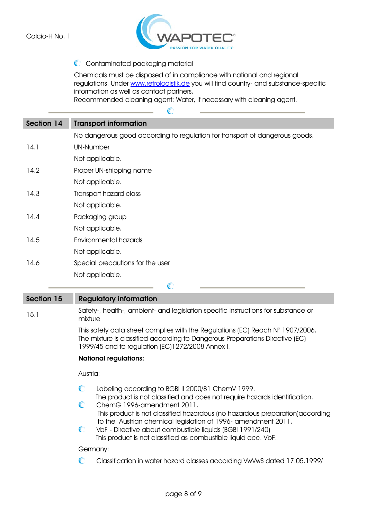

C Contaminated packaging material

Chemicals must be disposed of in compliance with national and regional regulations. Under www.retrologistik.de you will find country- and substance-specific information as well as contact partners.

Recommended cleaning agent: Water, if necessary with cleaning agent.

 $\mathbb{C}$ 

| Section 14 | <b>Transport information</b>                                                |
|------------|-----------------------------------------------------------------------------|
|            | No dangerous good according to regulation for transport of dangerous goods. |
| 14.1       | <b>UN-Number</b>                                                            |
|            | Not applicable.                                                             |
| 14.2       | Proper UN-shipping name                                                     |
|            | Not applicable.                                                             |
| 14.3       | Transport hazard class                                                      |
|            | Not applicable.                                                             |
| 14.4       | Packaging group                                                             |
|            | Not applicable.                                                             |
| 14.5       | Environmental hazards                                                       |
|            | Not applicable.                                                             |
| 14.6       | Special precautions for the user                                            |
|            | Not applicable.                                                             |
|            |                                                                             |

# Section 15 Regulatory information

15.1 Safety-, health-, ambient- and legislation specific instructions for substance or mixture

> This safety data sheet complies with the Regulations (EC) Reach N° 1907/2006. The mixture is classified according to Dangerous Preparations Directive (EC) 1999/45 and to regulation (EC)1272/2008 Annex I.

### National regulations:

Austria:

|              | Labeling according to BGBI II 2000/81 ChemV 1999.                             |
|--------------|-------------------------------------------------------------------------------|
|              | The product is not classified and does not require hazards identification.    |
| $\mathbb{C}$ | ChemG 1996-amendment 2011.                                                    |
|              | This product is not classified hazardous (no hazardous preparation) according |
|              | to the Austrian chemical legislation of 1996- amendment 2011.                 |
| $\mathbb{C}$ | VbF - Directive about combustible liquids (BGBI 1991/240)                     |
|              | This product is not classified as combustible liquid acc. VbF.                |
|              | Germany:                                                                      |

 $\mathbb{C}$ Classification in water hazard classes according VwVwS dated 17.05.1999/